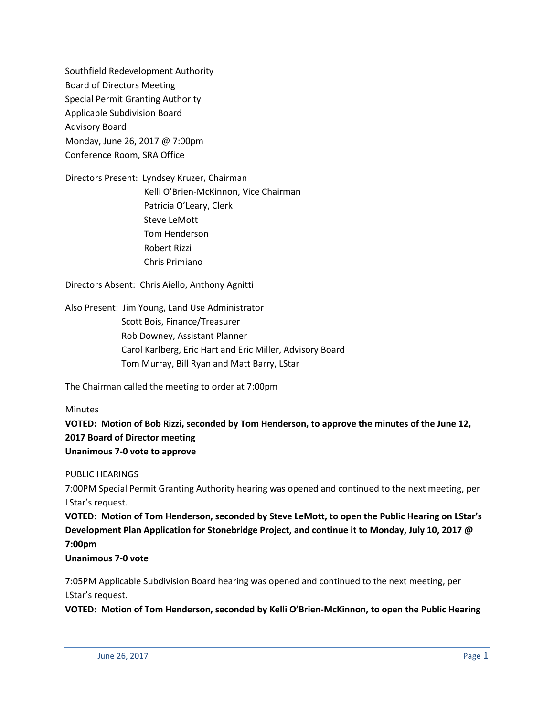Southfield Redevelopment Authority Board of Directors Meeting Special Permit Granting Authority Applicable Subdivision Board Advisory Board Monday, June 26, 2017 @ 7:00pm Conference Room, SRA Office

Directors Present: Lyndsey Kruzer, Chairman Kelli O'Brien-McKinnon, Vice Chairman Patricia O'Leary, Clerk Steve LeMott Tom Henderson Robert Rizzi Chris Primiano

Directors Absent: Chris Aiello, Anthony Agnitti

Also Present: Jim Young, Land Use Administrator Scott Bois, Finance/Treasurer Rob Downey, Assistant Planner Carol Karlberg, Eric Hart and Eric Miller, Advisory Board Tom Murray, Bill Ryan and Matt Barry, LStar

The Chairman called the meeting to order at 7:00pm

**Minutes** 

**VOTED: Motion of Bob Rizzi, seconded by Tom Henderson, to approve the minutes of the June 12, 2017 Board of Director meeting Unanimous 7-0 vote to approve**

PUBLIC HEARINGS

7:00PM Special Permit Granting Authority hearing was opened and continued to the next meeting, per LStar's request.

**VOTED: Motion of Tom Henderson, seconded by Steve LeMott, to open the Public Hearing on LStar's Development Plan Application for Stonebridge Project, and continue it to Monday, July 10, 2017 @ 7:00pm**

**Unanimous 7-0 vote**

7:05PM Applicable Subdivision Board hearing was opened and continued to the next meeting, per LStar's request.

**VOTED: Motion of Tom Henderson, seconded by Kelli O'Brien-McKinnon, to open the Public Hearing**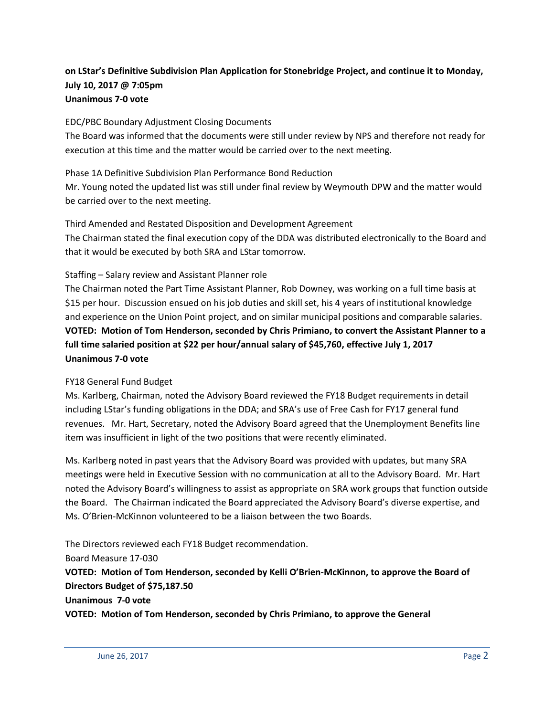## **on LStar's Definitive Subdivision Plan Application for Stonebridge Project, and continue it to Monday, July 10, 2017 @ 7:05pm Unanimous 7-0 vote**

#### EDC/PBC Boundary Adjustment Closing Documents

The Board was informed that the documents were still under review by NPS and therefore not ready for execution at this time and the matter would be carried over to the next meeting.

#### Phase 1A Definitive Subdivision Plan Performance Bond Reduction

Mr. Young noted the updated list was still under final review by Weymouth DPW and the matter would be carried over to the next meeting.

#### Third Amended and Restated Disposition and Development Agreement

The Chairman stated the final execution copy of the DDA was distributed electronically to the Board and that it would be executed by both SRA and LStar tomorrow.

#### Staffing – Salary review and Assistant Planner role

The Chairman noted the Part Time Assistant Planner, Rob Downey, was working on a full time basis at \$15 per hour. Discussion ensued on his job duties and skill set, his 4 years of institutional knowledge and experience on the Union Point project, and on similar municipal positions and comparable salaries. **VOTED: Motion of Tom Henderson, seconded by Chris Primiano, to convert the Assistant Planner to a full time salaried position at \$22 per hour/annual salary of \$45,760, effective July 1, 2017 Unanimous 7-0 vote**

### FY18 General Fund Budget

Ms. Karlberg, Chairman, noted the Advisory Board reviewed the FY18 Budget requirements in detail including LStar's funding obligations in the DDA; and SRA's use of Free Cash for FY17 general fund revenues. Mr. Hart, Secretary, noted the Advisory Board agreed that the Unemployment Benefits line item was insufficient in light of the two positions that were recently eliminated.

Ms. Karlberg noted in past years that the Advisory Board was provided with updates, but many SRA meetings were held in Executive Session with no communication at all to the Advisory Board. Mr. Hart noted the Advisory Board's willingness to assist as appropriate on SRA work groups that function outside the Board. The Chairman indicated the Board appreciated the Advisory Board's diverse expertise, and Ms. O'Brien-McKinnon volunteered to be a liaison between the two Boards.

The Directors reviewed each FY18 Budget recommendation. Board Measure 17-030 **VOTED: Motion of Tom Henderson, seconded by Kelli O'Brien-McKinnon, to approve the Board of Directors Budget of \$75,187.50 Unanimous 7-0 vote VOTED: Motion of Tom Henderson, seconded by Chris Primiano, to approve the General**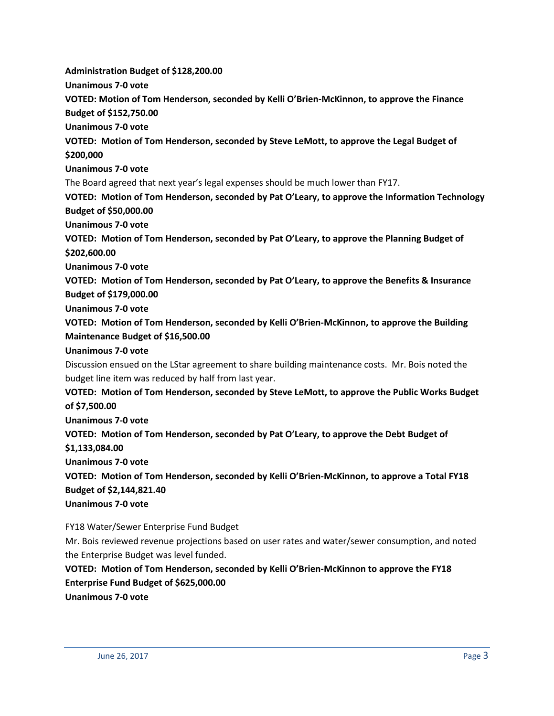**Administration Budget of \$128,200.00**

**Unanimous 7-0 vote**

**VOTED: Motion of Tom Henderson, seconded by Kelli O'Brien-McKinnon, to approve the Finance** 

**Budget of \$152,750.00**

**Unanimous 7-0 vote**

**VOTED: Motion of Tom Henderson, seconded by Steve LeMott, to approve the Legal Budget of \$200,000**

**Unanimous 7-0 vote**

The Board agreed that next year's legal expenses should be much lower than FY17.

**VOTED: Motion of Tom Henderson, seconded by Pat O'Leary, to approve the Information Technology Budget of \$50,000.00**

**Unanimous 7-0 vote**

**VOTED: Motion of Tom Henderson, seconded by Pat O'Leary, to approve the Planning Budget of \$202,600.00**

**Unanimous 7-0 vote**

**VOTED: Motion of Tom Henderson, seconded by Pat O'Leary, to approve the Benefits & Insurance Budget of \$179,000.00**

**Unanimous 7-0 vote**

**VOTED: Motion of Tom Henderson, seconded by Kelli O'Brien-McKinnon, to approve the Building Maintenance Budget of \$16,500.00**

**Unanimous 7-0 vote**

Discussion ensued on the LStar agreement to share building maintenance costs. Mr. Bois noted the budget line item was reduced by half from last year.

**VOTED: Motion of Tom Henderson, seconded by Steve LeMott, to approve the Public Works Budget of \$7,500.00**

**Unanimous 7-0 vote**

**VOTED: Motion of Tom Henderson, seconded by Pat O'Leary, to approve the Debt Budget of \$1,133,084.00**

**Unanimous 7-0 vote**

**VOTED: Motion of Tom Henderson, seconded by Kelli O'Brien-McKinnon, to approve a Total FY18 Budget of \$2,144,821.40**

**Unanimous 7-0 vote**

FY18 Water/Sewer Enterprise Fund Budget

Mr. Bois reviewed revenue projections based on user rates and water/sewer consumption, and noted the Enterprise Budget was level funded.

**VOTED: Motion of Tom Henderson, seconded by Kelli O'Brien-McKinnon to approve the FY18 Enterprise Fund Budget of \$625,000.00**

**Unanimous 7-0 vote**